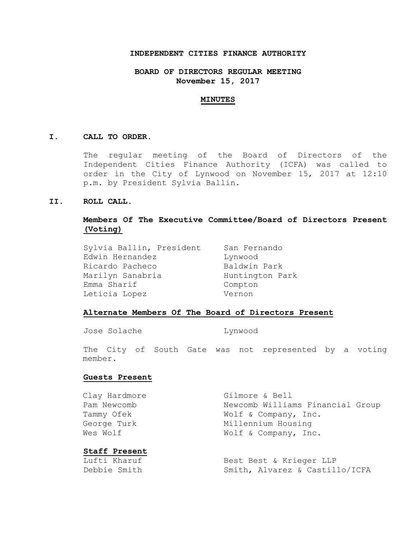## **INDEPENDENT CITIES FINANCE AUTHORITY**

## **BOARD OF DIRECTORS REGULAR MEETING November 15, 2017**

#### **MINUTES**

### **I. CALL TO ORDER.**

The regular meeting of the Board of Directors of the Independent Cities Finance Authority (ICFA) was called to order in the City of Lynwood on November 15, 2017 at 12:10 p.m. by President Sylvia Ballin.

### **II. ROLL CALL.**

## **Members Of The Executive Committee/Board of Directors Present (Voting)**

Sylvia Ballin, President San Fernando Edwin Hernandez Manuel Lynwood Ricardo Pacheco Baldwin Park Marilyn Sanabria **Huntington Park** Emma Sharif Compton Leticia Lopez **Vernon** 

# **Alternate Members Of The Board of Directors Present**

Jose Solache Lynwood

The City of South Gate was not represented by a voting member.

## **Guests Present**

| Clay Hardmore | Gilmore & Bell                   |
|---------------|----------------------------------|
| Pam Newcomb   | Newcomb Williams Financial Group |
| Tammy Ofek    | Wolf & Company, Inc.             |
| George Turk   | Millennium Housing               |
| Wes Wolf      | Wolf & Company, Inc.             |
|               |                                  |

**Staff Present**

Lufti Kharuf **Best Best & Krieger LLP** Debbie Smith Smith, Alvarez & Castillo/ICFA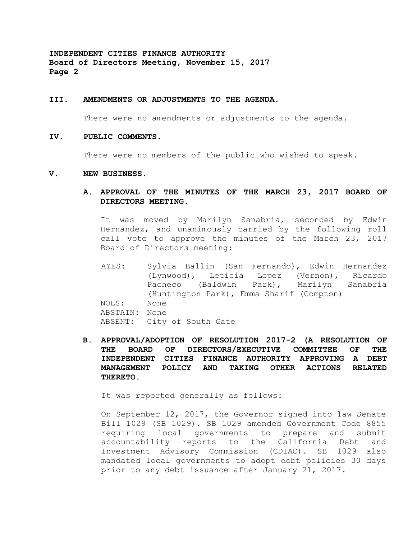#### **III. AMENDMENTS OR ADJUSTMENTS TO THE AGENDA.**

There were no amendments or adjustments to the agenda.

### **IV. PUBLIC COMMENTS.**

There were no members of the public who wished to speak.

#### **V. NEW BUSINESS.**

**A. APPROVAL OF THE MINUTES OF THE MARCH 23, 2017 BOARD OF DIRECTORS MEETING.**

It was moved by Marilyn Sanabria, seconded by Edwin Hernandez, and unanimously carried by the following roll call vote to approve the minutes of the March 23, 2017 Board of Directors meeting:

- AYES: Sylvia Ballin (San Fernando), Edwin Hernandez (Lynwood), Leticia Lopez (Vernon), Ricardo Pacheco (Baldwin Park), Marilyn Sanabria (Huntington Park), Emma Sharif (Compton) NOES: None ABSTAIN: None ABSENT: City of South Gate
- **B. APPROVAL/ADOPTION OF RESOLUTION 2017-2 (A RESOLUTION OF THE BOARD OF DIRECTORS/EXECUTIVE COMMITTEE OF THE INDEPENDENT CITIES FINANCE AUTHORITY APPROVING A DEBT MANAGEMENT POLICY AND TAKING OTHER ACTIONS RELATED THERETO.**

It was reported generally as follows:

On September 12, 2017, the Governor signed into law Senate Bill 1029 (SB 1029). SB 1029 amended Government Code 8855 requiring local governments to prepare and submit accountability reports to the California Debt and Investment Advisory Commission (CDIAC). SB 1029 also mandated local governments to adopt debt policies 30 days prior to any debt issuance after January 21, 2017.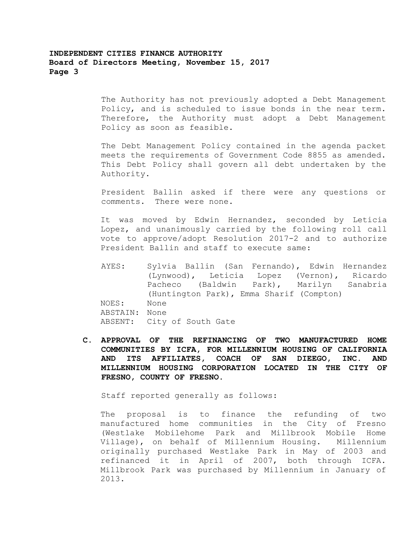The Authority has not previously adopted a Debt Management Policy, and is scheduled to issue bonds in the near term. Therefore, the Authority must adopt a Debt Management Policy as soon as feasible.

The Debt Management Policy contained in the agenda packet meets the requirements of Government Code 8855 as amended. This Debt Policy shall govern all debt undertaken by the Authority.

President Ballin asked if there were any questions or comments. There were none.

It was moved by Edwin Hernandez, seconded by Leticia Lopez, and unanimously carried by the following roll call vote to approve/adopt Resolution 2017-2 and to authorize President Ballin and staff to execute same:

- AYES: Sylvia Ballin (San Fernando), Edwin Hernandez (Lynwood), Leticia Lopez (Vernon), Ricardo Pacheco (Baldwin Park), Marilyn Sanabria (Huntington Park), Emma Sharif (Compton) NOES: None ABSTAIN: None ABSENT: City of South Gate
- **C. APPROVAL OF THE REFINANCING OF TWO MANUFACTURED HOME COMMUNITIES BY ICFA, FOR MILLENNIUM HOUSING OF CALIFORNIA AND ITS AFFILIATES, COACH OF SAN DIEEGO, INC. AND MILLENNIUM HOUSING CORPORATION LOCATED IN THE CITY OF FRESNO, COUNTY OF FRESNO.**

Staff reported generally as follows:

The proposal is to finance the refunding of two manufactured home communities in the City of Fresno (Westlake Mobilehome Park and Millbrook Mobile Home Village), on behalf of Millennium Housing. Millennium originally purchased Westlake Park in May of 2003 and refinanced it in April of 2007, both through ICFA. Millbrook Park was purchased by Millennium in January of 2013.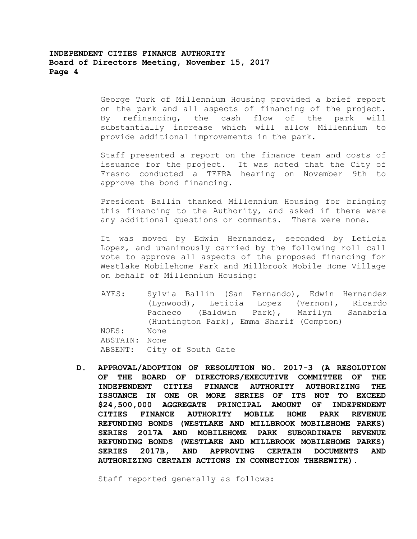George Turk of Millennium Housing provided a brief report on the park and all aspects of financing of the project. By refinancing, the cash flow of the park will substantially increase which will allow Millennium to provide additional improvements in the park.

Staff presented a report on the finance team and costs of issuance for the project. It was noted that the City of Fresno conducted a TEFRA hearing on November 9th to approve the bond financing.

President Ballin thanked Millennium Housing for bringing this financing to the Authority, and asked if there were any additional questions or comments. There were none.

It was moved by Edwin Hernandez, seconded by Leticia Lopez, and unanimously carried by the following roll call vote to approve all aspects of the proposed financing for Westlake Mobilehome Park and Millbrook Mobile Home Village on behalf of Millennium Housing:

AYES: Sylvia Ballin (San Fernando), Edwin Hernandez (Lynwood), Leticia Lopez (Vernon), Ricardo Pacheco (Baldwin Park), Marilyn Sanabria (Huntington Park), Emma Sharif (Compton) NOES: None ABSTAIN: None ABSENT: City of South Gate

**D. APPROVAL/ADOPTION OF RESOLUTION NO. 2017-3 (A RESOLUTION OF THE BOARD OF DIRECTORS/EXECUTIVE COMMITTEE OF THE INDEPENDENT CITIES FINANCE AUTHORITY AUTHORIZING THE ISSUANCE IN ONE OR MORE SERIES OF ITS NOT TO EXCEED \$24,500,000 AGGREGATE PRINCIPAL AMOUNT OF INDEPENDENT CITIES FINANCE AUTHORITY MOBILE HOME PARK REVENUE REFUNDING BONDS (WESTLAKE AND MILLBROOK MOBILEHOME PARKS) SERIES 2017A AND MOBILEHOME PARK SUBORDINATE REVENUE REFUNDING BONDS (WESTLAKE AND MILLBROOK MOBILEHOME PARKS) SERIES 2017B, AND APPROVING CERTAIN DOCUMENTS AND AUTHORIZING CERTAIN ACTIONS IN CONNECTION THEREWITH).**

Staff reported generally as follows: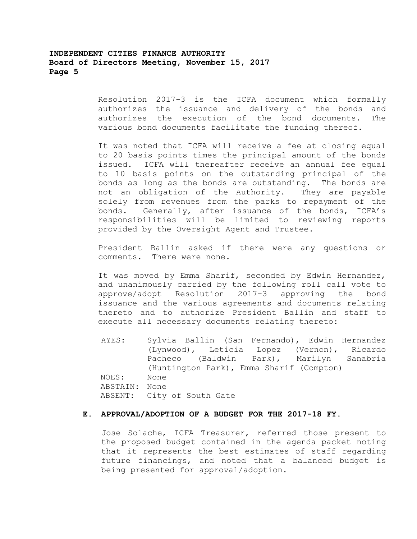Resolution 2017-3 is the ICFA document which formally authorizes the issuance and delivery of the bonds and authorizes the execution of the bond documents. The various bond documents facilitate the funding thereof.

It was noted that ICFA will receive a fee at closing equal to 20 basis points times the principal amount of the bonds issued. ICFA will thereafter receive an annual fee equal to 10 basis points on the outstanding principal of the bonds as long as the bonds are outstanding. The bonds are not an obligation of the Authority. They are payable solely from revenues from the parks to repayment of the bonds. Generally, after issuance of the bonds, ICFA's responsibilities will be limited to reviewing reports provided by the Oversight Agent and Trustee.

President Ballin asked if there were any questions or comments. There were none.

It was moved by Emma Sharif, seconded by Edwin Hernandez, and unanimously carried by the following roll call vote to approve/adopt Resolution 2017-3 approving the bond issuance and the various agreements and documents relating thereto and to authorize President Ballin and staff to execute all necessary documents relating thereto:

AYES: Sylvia Ballin (San Fernando), Edwin Hernandez (Lynwood), Leticia Lopez (Vernon), Ricardo Pacheco (Baldwin Park), Marilyn Sanabria (Huntington Park), Emma Sharif (Compton) NOES: None ABSTAIN: None ABSENT: City of South Gate

## **E. APPROVAL/ADOPTION OF A BUDGET FOR THE 2017-18 FY.**

Jose Solache, ICFA Treasurer, referred those present to the proposed budget contained in the agenda packet noting that it represents the best estimates of staff regarding future financings, and noted that a balanced budget is being presented for approval/adoption.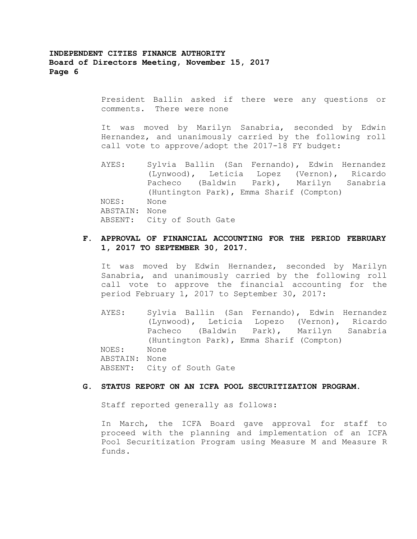> President Ballin asked if there were any questions or comments. There were none

> It was moved by Marilyn Sanabria, seconded by Edwin Hernandez, and unanimously carried by the following roll call vote to approve/adopt the 2017-18 FY budget:

> AYES: Sylvia Ballin (San Fernando), Edwin Hernandez (Lynwood), Leticia Lopez (Vernon), Ricardo Pacheco (Baldwin Park), Marilyn Sanabria (Huntington Park), Emma Sharif (Compton) NOES: None ABSTAIN: None ABSENT: City of South Gate

## **F. APPROVAL OF FINANCIAL ACCOUNTING FOR THE PERIOD FEBRUARY 1, 2017 TO SEPTEMBER 30, 2017.**

It was moved by Edwin Hernandez, seconded by Marilyn Sanabria, and unanimously carried by the following roll call vote to approve the financial accounting for the period February 1, 2017 to September 30, 2017:

AYES: Sylvia Ballin (San Fernando), Edwin Hernandez (Lynwood), Leticia Lopezo (Vernon), Ricardo Pacheco (Baldwin Park), Marilyn Sanabria (Huntington Park), Emma Sharif (Compton) NOES: None ABSTAIN: None ABSENT: City of South Gate

### **G. STATUS REPORT ON AN ICFA POOL SECURITIZATION PROGRAM.**

Staff reported generally as follows:

In March, the ICFA Board gave approval for staff to proceed with the planning and implementation of an ICFA Pool Securitization Program using Measure M and Measure R funds.